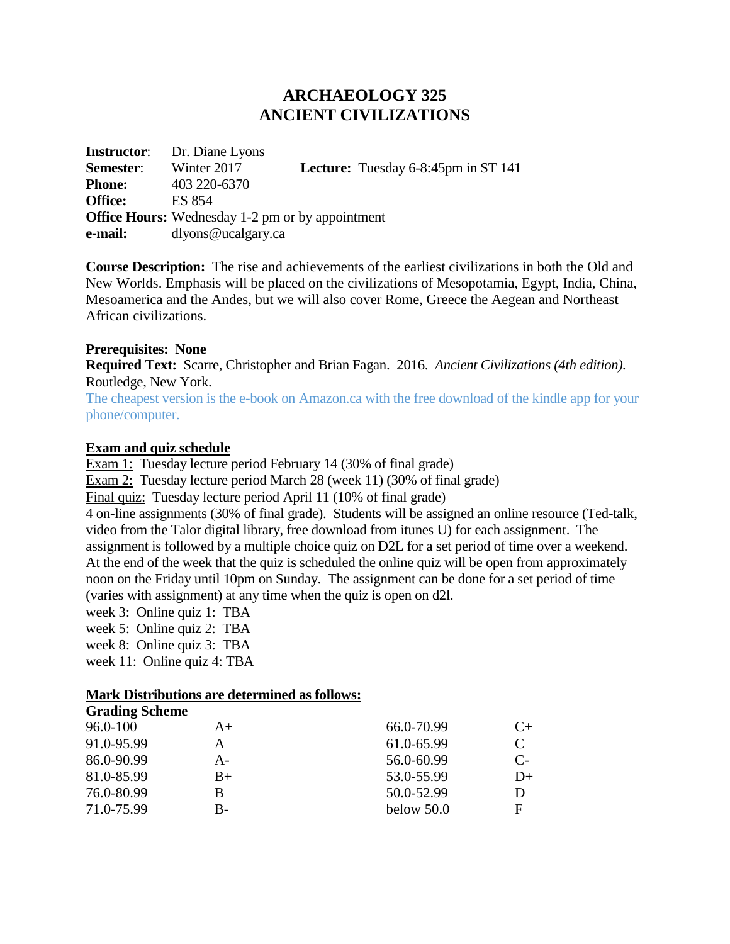# **ARCHAEOLOGY 325 ANCIENT CIVILIZATIONS**

|                  | <b>Instructor:</b> Dr. Diane Lyons                      |                                            |
|------------------|---------------------------------------------------------|--------------------------------------------|
| <b>Semester:</b> | Winter 2017                                             | <b>Lecture:</b> Tuesday 6-8:45pm in ST 141 |
| <b>Phone:</b>    | 403 220-6370                                            |                                            |
| <b>Office:</b>   | ES 854                                                  |                                            |
|                  | <b>Office Hours:</b> Wednesday 1-2 pm or by appointment |                                            |
| e-mail:          | dlyons@ucalgary.ca                                      |                                            |

**Course Description:** The rise and achievements of the earliest civilizations in both the Old and New Worlds. Emphasis will be placed on the civilizations of Mesopotamia, Egypt, India, China, Mesoamerica and the Andes, but we will also cover Rome, Greece the Aegean and Northeast African civilizations.

### **Prerequisites: None**

**Required Text:** Scarre, Christopher and Brian Fagan. 2016. *Ancient Civilizations (4th edition).* Routledge, New York.

The cheapest version is the e-book on Amazon.ca with the free download of the kindle app for your phone/computer.

### **Exam and quiz schedule**

Exam 1: Tuesday lecture period February 14 (30% of final grade)

Exam 2: Tuesday lecture period March 28 (week 11) (30% of final grade)

Final quiz: Tuesday lecture period April 11 (10% of final grade)

4 on-line assignments (30% of final grade). Students will be assigned an online resource (Ted-talk, video from the Talor digital library, free download from itunes U) for each assignment. The assignment is followed by a multiple choice quiz on D2L for a set period of time over a weekend. At the end of the week that the quiz is scheduled the online quiz will be open from approximately noon on the Friday until 10pm on Sunday. The assignment can be done for a set period of time (varies with assignment) at any time when the quiz is open on d2l.

week 3: Online quiz 1: TBA week 5: Online quiz 2: TBA week 8: Online quiz 3: TBA

week 11: Online quiz 4: TBA

### **Mark Distributions are determined as follows:**

| <b>Grading Scheme</b> |      |              |       |
|-----------------------|------|--------------|-------|
| 96.0-100              | $A+$ | 66.0-70.99   | C+    |
| 91.0-95.99            | А    | 61.0-65.99   |       |
| 86.0-90.99            | A-   | 56.0-60.99   | $C$ - |
| 81.0-85.99            | $B+$ | 53.0-55.99   | D+    |
| 76.0-80.99            | B    | 50.0-52.99   |       |
| 71.0-75.99            | B-   | below $50.0$ | F     |
|                       |      |              |       |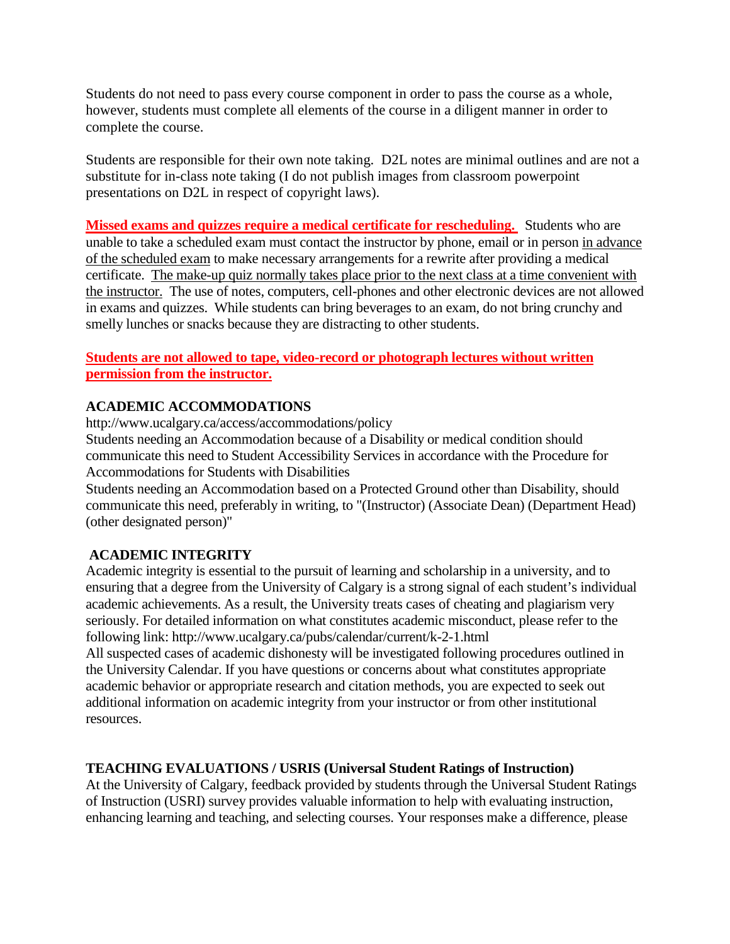Students do not need to pass every course component in order to pass the course as a whole, however, students must complete all elements of the course in a diligent manner in order to complete the course.

Students are responsible for their own note taking. D2L notes are minimal outlines and are not a substitute for in-class note taking (I do not publish images from classroom powerpoint presentations on D2L in respect of copyright laws).

**Missed exams and quizzes require a medical certificate for rescheduling.** Students who are unable to take a scheduled exam must contact the instructor by phone, email or in person in advance of the scheduled exam to make necessary arrangements for a rewrite after providing a medical certificate. The make-up quiz normally takes place prior to the next class at a time convenient with the instructor. The use of notes, computers, cell-phones and other electronic devices are not allowed in exams and quizzes. While students can bring beverages to an exam, do not bring crunchy and smelly lunches or snacks because they are distracting to other students.

# **Students are not allowed to tape, video-record or photograph lectures without written permission from the instructor.**

# **ACADEMIC ACCOMMODATIONS**

http://www.ucalgary.ca/access/accommodations/policy

Students needing an Accommodation because of a Disability or medical condition should communicate this need to Student Accessibility Services in accordance with the Procedure for Accommodations for Students with Disabilities

Students needing an Accommodation based on a Protected Ground other than Disability, should communicate this need, preferably in writing, to "(Instructor) (Associate Dean) (Department Head) (other designated person)"

## **ACADEMIC INTEGRITY**

Academic integrity is essential to the pursuit of learning and scholarship in a university, and to ensuring that a degree from the University of Calgary is a strong signal of each student's individual academic achievements. As a result, the University treats cases of cheating and plagiarism very seriously. For detailed information on what constitutes academic misconduct, please refer to the following link: http://www.ucalgary.ca/pubs/calendar/current/k-2-1.html

All suspected cases of academic dishonesty will be investigated following procedures outlined in the University Calendar. If you have questions or concerns about what constitutes appropriate academic behavior or appropriate research and citation methods, you are expected to seek out additional information on academic integrity from your instructor or from other institutional resources.

## **TEACHING EVALUATIONS / USRIS (Universal Student Ratings of Instruction)**

At the University of Calgary, feedback provided by students through the Universal Student Ratings of Instruction (USRI) survey provides valuable information to help with evaluating instruction, enhancing learning and teaching, and selecting courses. Your responses make a difference, please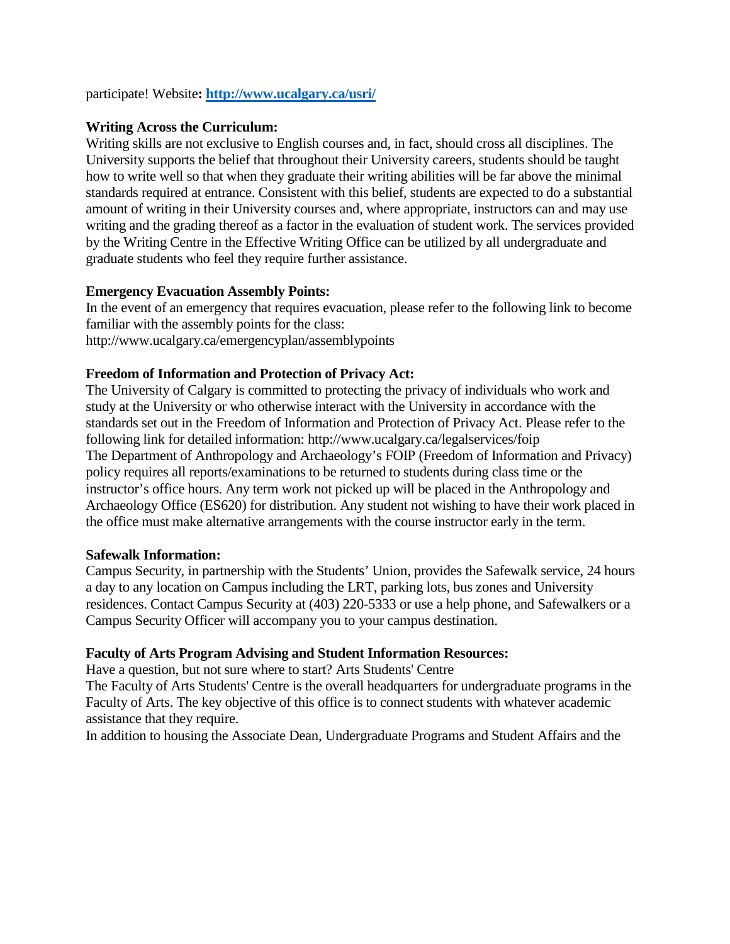participate! Website**[: http://www.ucalgary.ca/usri/](http://www.ucalgary.ca/usri/)**

### **Writing Across the Curriculum:**

Writing skills are not exclusive to English courses and, in fact, should cross all disciplines. The University supports the belief that throughout their University careers, students should be taught how to write well so that when they graduate their writing abilities will be far above the minimal standards required at entrance. Consistent with this belief, students are expected to do a substantial amount of writing in their University courses and, where appropriate, instructors can and may use writing and the grading thereof as a factor in the evaluation of student work. The services provided by the Writing Centre in the Effective Writing Office can be utilized by all undergraduate and graduate students who feel they require further assistance.

### **Emergency Evacuation Assembly Points:**

In the event of an emergency that requires evacuation, please refer to the following link to become familiar with the assembly points for the class: http://www.ucalgary.ca/emergencyplan/assemblypoints

### **Freedom of Information and Protection of Privacy Act:**

The University of Calgary is committed to protecting the privacy of individuals who work and study at the University or who otherwise interact with the University in accordance with the standards set out in the Freedom of Information and Protection of Privacy Act. Please refer to the following link for detailed information: http://www.ucalgary.ca/legalservices/foip The Department of Anthropology and Archaeology's FOIP (Freedom of Information and Privacy) policy requires all reports/examinations to be returned to students during class time or the instructor's office hours. Any term work not picked up will be placed in the Anthropology and Archaeology Office (ES620) for distribution. Any student not wishing to have their work placed in the office must make alternative arrangements with the course instructor early in the term.

### **Safewalk Information:**

Campus Security, in partnership with the Students' Union, provides the Safewalk service, 24 hours a day to any location on Campus including the LRT, parking lots, bus zones and University residences. Contact Campus Security at (403) 220-5333 or use a help phone, and Safewalkers or a Campus Security Officer will accompany you to your campus destination.

### **Faculty of Arts Program Advising and Student Information Resources:**

Have a question, but not sure where to start? Arts Students' Centre

The Faculty of Arts Students' Centre is the overall headquarters for undergraduate programs in the Faculty of Arts. The key objective of this office is to connect students with whatever academic assistance that they require.

In addition to housing the Associate Dean, Undergraduate Programs and Student Affairs and the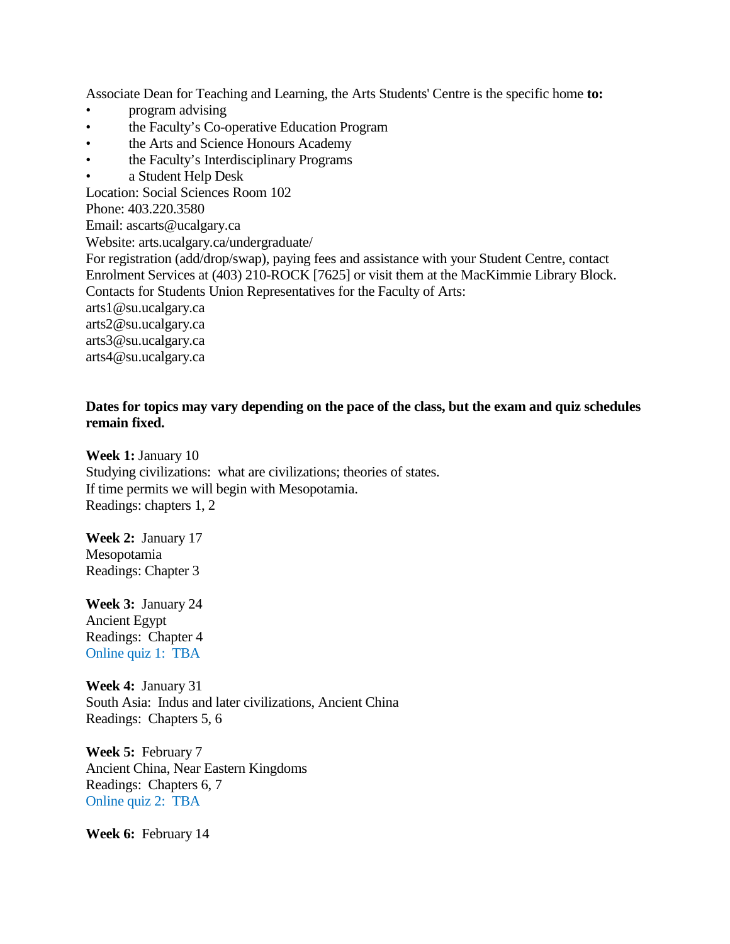Associate Dean for Teaching and Learning, the Arts Students' Centre is the specific home **to:**

- program advising
- the Faculty's Co-operative Education Program
- the Arts and Science Honours Academy
- the Faculty's Interdisciplinary Programs
- a Student Help Desk

Location: Social Sciences Room 102

Phone: 403.220.3580

Email: ascarts@ucalgary.ca

Website: arts.ucalgary.ca/undergraduate/

For registration (add/drop/swap), paying fees and assistance with your Student Centre, contact Enrolment Services at (403) 210-ROCK [7625] or visit them at the MacKimmie Library Block. Contacts for Students Union Representatives for the Faculty of Arts:

arts1@su.ucalgary.ca

arts2@su.ucalgary.ca

arts3@su.ucalgary.ca

arts4@su.ucalgary.ca

### **Dates for topics may vary depending on the pace of the class, but the exam and quiz schedules remain fixed.**

**Week 1:** January 10 Studying civilizations: what are civilizations; theories of states. If time permits we will begin with Mesopotamia. Readings: chapters 1, 2

**Week 2:** January 17 Mesopotamia Readings: Chapter 3

**Week 3:** January 24 Ancient Egypt Readings: Chapter 4 Online quiz 1: TBA

**Week 4:** January 31 South Asia: Indus and later civilizations, Ancient China Readings: Chapters 5, 6

**Week 5:** February 7 Ancient China, Near Eastern Kingdoms Readings: Chapters 6, 7 Online quiz 2: TBA

**Week 6:** February 14